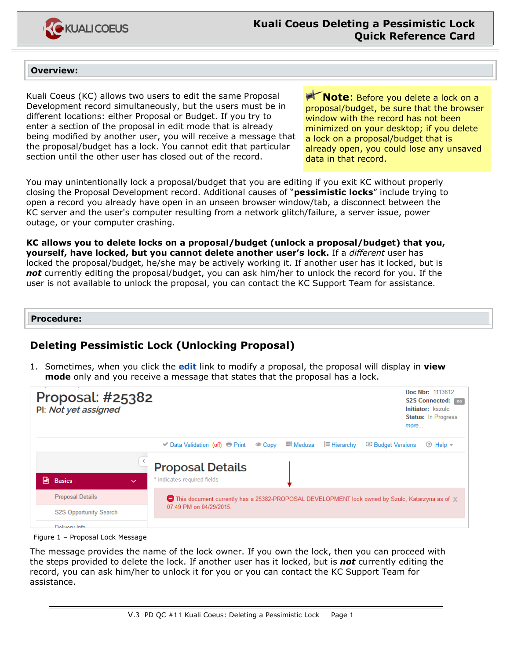

## **Overview:**

Kuali Coeus (KC) allows two users to edit the same Proposal Development record simultaneously, but the users must be in different locations: either Proposal or Budget. If you try to enter a section of the proposal in edit mode that is already being modified by another user, you will receive a message that the proposal/budget has a lock. You cannot edit that particular section until the other user has closed out of the record.

**Note:** Before you delete a lock on a proposal/budget, be sure that the browser window with the record has not been minimized on your desktop; if you delete a lock on a proposal/budget that is already open, you could lose any unsaved data in that record.

You may unintentionally lock a proposal/budget that you are editing if you exit KC without properly closing the Proposal Development record. Additional causes of "**pessimistic locks**" include trying to open a record you already have open in an unseen browser window/tab, a disconnect between the KC server and the user's computer resulting from a network glitch/failure, a server issue, power outage, or your computer crashing.

**KC allows you to delete locks on a proposal/budget (unlock a proposal/budget) that you, yourself, have locked, but you cannot delete another user's lock.** If a *different* user has locked the proposal/budget, he/she may be actively working it. If another user has it locked, but is *not* currently editing the proposal/budget, you can ask him/her to unlock the record for you. If the user is not available to unlock the proposal, you can contact the KC Support Team for assistance.

## **Procedure:**

## **Deleting Pessimistic Lock (Unlocking Proposal)**

1. Sometimes, when you click the **edit** link to modify a proposal, the proposal will display in **view mode** only and you receive a message that states that the proposal has a lock.



Figure 1 – Proposal Lock Message

The message provides the name of the lock owner. If you own the lock, then you can proceed with the steps provided to delete the lock. If another user has it locked, but is *not* currently editing the record, you can ask him/her to unlock it for you or you can contact the KC Support Team for assistance.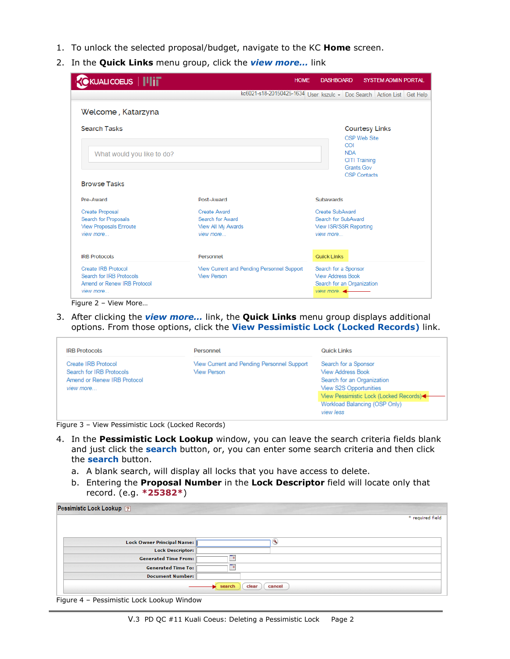- 1. To unlock the selected proposal/budget, navigate to the KC **Home** screen.
- 2. In the **Quick Links** menu group, click the *view more…* link

| $\epsilon$ KUALICOEUS $  \ $ i $\ $                                                          |                                                                                |                                                                         | <b>HOME</b> |  | <b>DASHBOARD</b>                                      |                                                      | <b>SYSTEM ADMIN PORTAL</b> |  |
|----------------------------------------------------------------------------------------------|--------------------------------------------------------------------------------|-------------------------------------------------------------------------|-------------|--|-------------------------------------------------------|------------------------------------------------------|----------------------------|--|
|                                                                                              |                                                                                | kc6021-s18-20150425-1634 User: kszulc - Doc Search Action List Get Help |             |  |                                                       |                                                      |                            |  |
| Welcome, Katarzyna                                                                           |                                                                                |                                                                         |             |  |                                                       |                                                      |                            |  |
| <b>Search Tasks</b>                                                                          |                                                                                |                                                                         |             |  |                                                       | <b>Courtesy Links</b><br>OSP Web Site                |                            |  |
| What would you like to do?                                                                   | COI<br><b>NDA</b><br><b>CITI Training</b><br>Grants Gov<br><b>OSP Contacts</b> |                                                                         |             |  |                                                       |                                                      |                            |  |
| <b>Browse Tasks</b>                                                                          |                                                                                |                                                                         |             |  |                                                       |                                                      |                            |  |
| Pre-Award                                                                                    | Post-Award                                                                     |                                                                         |             |  | <b>Subawards</b>                                      |                                                      |                            |  |
| <b>Create Proposal</b><br>Search for Proposals<br><b>View Proposals Enroute</b><br>view more | <b>Create Award</b><br>Search for Award<br>View All My Awards<br>view more     |                                                                         |             |  | Create SubAward<br>view more                          | Search for SubAward<br><b>View ISR/SSR Reporting</b> |                            |  |
| <b>IRB Protocols</b>                                                                         | Personnel                                                                      |                                                                         |             |  | Quick Links                                           |                                                      |                            |  |
| Create IRB Protocol<br>Search for IRB Protocols<br>Amend or Renew IRB Protocol<br>view more  | <b>View Person</b>                                                             | View Current and Pending Personnel Support                              |             |  | <b>View Address Book</b><br>view more $\triangleleft$ | Search for a Sponsor<br>Search for an Organization   |                            |  |

Figure 2 – View More…

3. After clicking the *view more…* link, the **Quick Links** menu group displays additional options. From those options, click the **View Pessimistic Lock (Locked Records)** link.

| <b>IRB Protocols</b>                                                                        | Personnel                                                        | Quick Links                                                                                                                                                                                       |  |  |
|---------------------------------------------------------------------------------------------|------------------------------------------------------------------|---------------------------------------------------------------------------------------------------------------------------------------------------------------------------------------------------|--|--|
| Create IRB Protocol<br>Search for IRB Protocols<br>Amend or Renew IRB Protocol<br>view more | View Current and Pending Personnel Support<br><b>View Person</b> | Search for a Sponsor<br><b>View Address Book</b><br>Search for an Organization<br>View S2S Opportunities<br>View Pessimistic Lock (Locked Records)<<br>Workload Balancing (OSP Only)<br>view less |  |  |

Figure 3 – View Pessimistic Lock (Locked Records)

- 4. In the **Pessimistic Lock Lookup** window, you can leave the search criteria fields blank and just click the **search** button, or, you can enter some search criteria and then click the **search** button.
	- a. A blank search, will display all locks that you have access to delete.
	- b. Entering the **Proposal Number** in the **Lock Descriptor** field will locate only that record. (e.g. **\*25382\***)

|                             | * required field          |
|-----------------------------|---------------------------|
| Lock Owner Principal Name:  | $\mathbf{Q}$              |
| <b>Lock Descriptor:</b>     |                           |
| <b>Generated Time From:</b> |                           |
| <b>Generated Time To:</b>   |                           |
| <b>Document Number:</b>     |                           |
|                             | cancel<br>clear<br>search |

Figure 4 – Pessimistic Lock Lookup Window